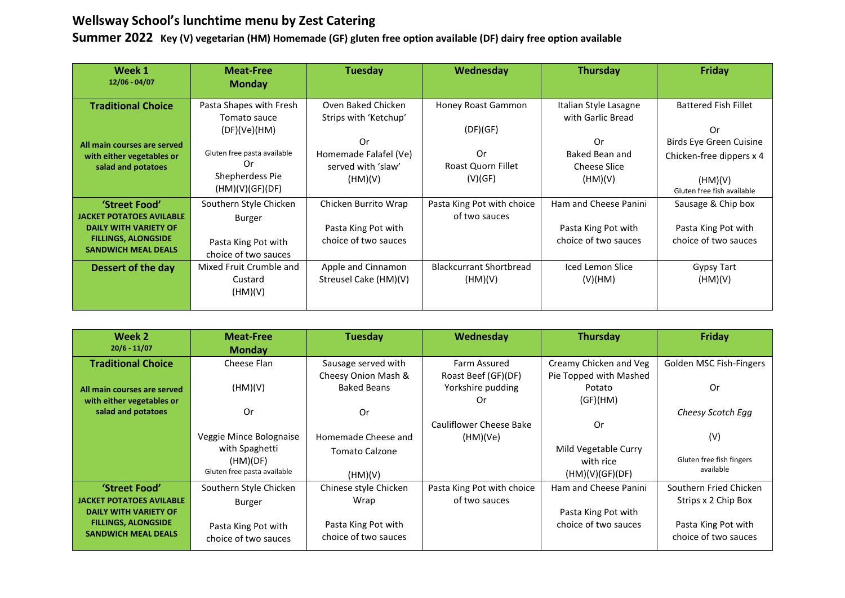## **Wellsway School's lunchtime menu by Zest Catering**

**Summer 2022 Key (V) vegetarian (HM) Homemade (GF) gluten free option available (DF) dairy free option available**

| Week 1<br>12/06 - 04/07                                                                                                                      | <b>Meat-Free</b><br><b>Monday</b>                                                                                                  | <b>Tuesday</b>                                                                                              | Wednesday                                                             | <b>Thursday</b>                                                                                      | <b>Friday</b>                                                                                                                            |
|----------------------------------------------------------------------------------------------------------------------------------------------|------------------------------------------------------------------------------------------------------------------------------------|-------------------------------------------------------------------------------------------------------------|-----------------------------------------------------------------------|------------------------------------------------------------------------------------------------------|------------------------------------------------------------------------------------------------------------------------------------------|
| <b>Traditional Choice</b><br>All main courses are served<br>with either vegetables or<br>salad and potatoes                                  | Pasta Shapes with Fresh<br>Tomato sauce<br>(DF)(Ve)(HM)<br>Gluten free pasta available<br>0r<br>Shepherdess Pie<br>(HM)(V)(GF)(DF) | Oven Baked Chicken<br>Strips with 'Ketchup'<br>Or<br>Homemade Falafel (Ve)<br>served with 'slaw'<br>(HM)(V) | Honey Roast Gammon<br>(DF)(GF)<br>0r<br>Roast Quorn Fillet<br>(V)(GF) | Italian Style Lasagne<br>with Garlic Bread<br>Or<br>Baked Bean and<br><b>Cheese Slice</b><br>(HM)(V) | <b>Battered Fish Fillet</b><br>Or<br><b>Birds Eye Green Cuisine</b><br>Chicken-free dippers x 4<br>(HM)(V)<br>Gluten free fish available |
| 'Street Food'<br><b>JACKET POTATOES AVILABLE</b><br><b>DAILY WITH VARIETY OF</b><br><b>FILLINGS, ALONGSIDE</b><br><b>SANDWICH MEAL DEALS</b> | Southern Style Chicken<br>Burger<br>Pasta King Pot with<br>choice of two sauces                                                    | Chicken Burrito Wrap<br>Pasta King Pot with<br>choice of two sauces                                         | Pasta King Pot with choice<br>of two sauces                           | Ham and Cheese Panini<br>Pasta King Pot with<br>choice of two sauces                                 | Sausage & Chip box<br>Pasta King Pot with<br>choice of two sauces                                                                        |
| Dessert of the day                                                                                                                           | Mixed Fruit Crumble and<br>Custard<br>(HM)(V)                                                                                      | Apple and Cinnamon<br>Streusel Cake (HM)(V)                                                                 | <b>Blackcurrant Shortbread</b><br>(HM)(V)                             | Iced Lemon Slice<br>(V)(HM)                                                                          | Gypsy Tart<br>(HM)(V)                                                                                                                    |

| Week 2                          | <b>Meat-Free</b>            | Tuesday               | Wednesday                  | <b>Thursday</b>        | Friday                   |
|---------------------------------|-----------------------------|-----------------------|----------------------------|------------------------|--------------------------|
| $20/6 - 11/07$                  | <b>Monday</b>               |                       |                            |                        |                          |
| <b>Traditional Choice</b>       | Cheese Flan                 | Sausage served with   | Farm Assured               | Creamy Chicken and Veg | Golden MSC Fish-Fingers  |
|                                 |                             | Cheesy Onion Mash &   | Roast Beef (GF)(DF)        | Pie Topped with Mashed |                          |
| All main courses are served     | (HM)(V)                     | <b>Baked Beans</b>    | Yorkshire pudding          | Potato                 | Or                       |
| with either vegetables or       |                             |                       | 0r                         | (GF)(HM)               |                          |
| salad and potatoes              | Or                          | Or                    |                            |                        | Cheesy Scotch Egg        |
|                                 |                             |                       | Cauliflower Cheese Bake    | Or                     |                          |
|                                 | Veggie Mince Bolognaise     | Homemade Cheese and   | (HM)(Ve)                   |                        | (V)                      |
|                                 | with Spaghetti              | <b>Tomato Calzone</b> |                            | Mild Vegetable Curry   |                          |
|                                 | (HM)(DF)                    |                       |                            | with rice              | Gluten free fish fingers |
|                                 | Gluten free pasta available | (HM)(V)               |                            | (HM)(V)(GF)(DF)        | available                |
| 'Street Food'                   | Southern Style Chicken      | Chinese style Chicken | Pasta King Pot with choice | Ham and Cheese Panini  | Southern Fried Chicken   |
| <b>JACKET POTATOES AVILABLE</b> | <b>Burger</b>               | Wrap                  | of two sauces              |                        | Strips x 2 Chip Box      |
| <b>DAILY WITH VARIETY OF</b>    |                             |                       |                            | Pasta King Pot with    |                          |
| <b>FILLINGS, ALONGSIDE</b>      | Pasta King Pot with         | Pasta King Pot with   |                            | choice of two sauces   | Pasta King Pot with      |
| <b>SANDWICH MEAL DEALS</b>      | choice of two sauces        | choice of two sauces  |                            |                        | choice of two sauces     |